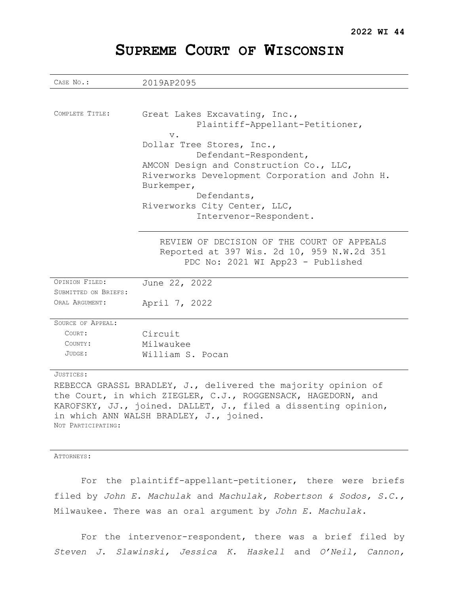# **SUPREME COURT OF WISCONSIN**

| CASE No.:                | 2019AP2095                                                                                                                    |  |  |  |
|--------------------------|-------------------------------------------------------------------------------------------------------------------------------|--|--|--|
|                          |                                                                                                                               |  |  |  |
| COMPLETE TITLE:          | Great Lakes Excavating, Inc.,<br>Plaintiff-Appellant-Petitioner,<br>$V$ .                                                     |  |  |  |
|                          | Dollar Tree Stores, Inc.,                                                                                                     |  |  |  |
|                          | Defendant-Respondent,                                                                                                         |  |  |  |
|                          | AMCON Design and Construction Co., LLC,                                                                                       |  |  |  |
|                          | Riverworks Development Corporation and John H.                                                                                |  |  |  |
|                          | Burkemper,                                                                                                                    |  |  |  |
|                          | Defendants,                                                                                                                   |  |  |  |
|                          | Riverworks City Center, LLC,                                                                                                  |  |  |  |
|                          | Intervenor-Respondent.                                                                                                        |  |  |  |
|                          |                                                                                                                               |  |  |  |
|                          | REVIEW OF DECISION OF THE COURT OF APPEALS<br>Reported at 397 Wis. 2d 10, 959 N.W.2d 351<br>PDC No: 2021 WI App23 - Published |  |  |  |
| OPINION FILED:           | June 22, 2022                                                                                                                 |  |  |  |
| SUBMITTED ON BRIEFS:     |                                                                                                                               |  |  |  |
| ORAL ARGUMENT:           | April 7, 2022                                                                                                                 |  |  |  |
|                          |                                                                                                                               |  |  |  |
| <b>SOURCE OF APPEAL:</b> |                                                                                                                               |  |  |  |
| COURT:                   | Circuit                                                                                                                       |  |  |  |
| COUNTY:                  | Milwaukee                                                                                                                     |  |  |  |
| JUDGE:                   | William S. Pocan                                                                                                              |  |  |  |
| JUSTICES:                |                                                                                                                               |  |  |  |

REBECCA GRASSL BRADLEY, J., delivered the majority opinion of the Court, in which ZIEGLER, C.J., ROGGENSACK, HAGEDORN, and KAROFSKY, JJ., joined. DALLET, J., filed a dissenting opinion, in which ANN WALSH BRADLEY, J., joined. NOT PARTICIPATING:

#### ATTORNEYS:

For the plaintiff-appellant-petitioner, there were briefs filed by *John E. Machulak* and *Machulak, Robertson & Sodos, S.C.,*  Milwaukee. There was an oral argument by *John E. Machulak.*

For the intervenor-respondent, there was a brief filed by *Steven J. Slawinski, Jessica K. Haskell* and *O'Neil, Cannon,*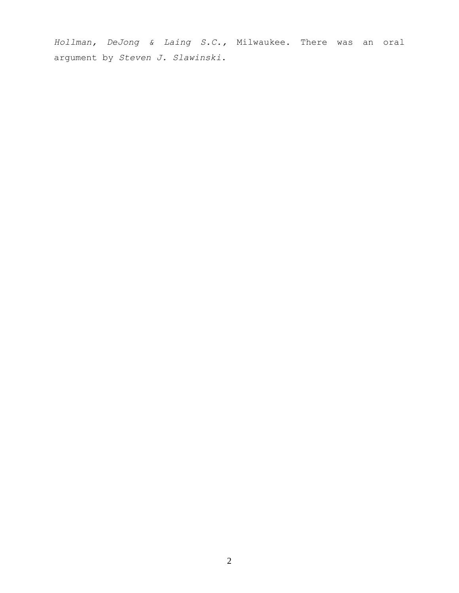*Hollman, DeJong & Laing S.C.,* Milwaukee. There was an oral argument by *Steven J. Slawinski*.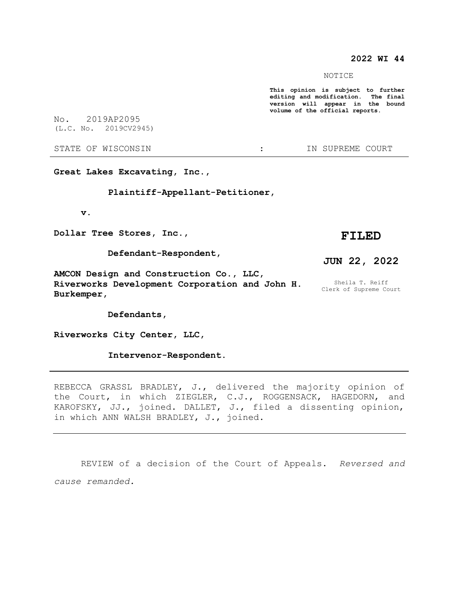### **2022 WI 44**

NOTICE

**This opinion is subject to further editing and modification. The final version will appear in the bound volume of the official reports.** 

No. 2019AP2095

STATE OF WISCONSIN  $\cdot$  : IN SUPREME COURT

**Great Lakes Excavating, Inc.,**

 **Plaintiff-Appellant-Petitioner,**

 **v.**

**Dollar Tree Stores, Inc.,**

 **Defendant-Respondent,**

**AMCON Design and Construction Co., LLC, Riverworks Development Corporation and John H. Burkemper,**

 **Defendants,**

**Riverworks City Center, LLC,**

 **Intervenor-Respondent.**

REBECCA GRASSL BRADLEY, J., delivered the majority opinion of the Court, in which ZIEGLER, C.J., ROGGENSACK, HAGEDORN, and KAROFSKY, JJ., joined. DALLET, J., filed a dissenting opinion, in which ANN WALSH BRADLEY, J., joined.

REVIEW of a decision of the Court of Appeals. *Reversed and cause remanded.*

(L.C. No. 2019CV2945)

**FILED**

**JUN 22, 2022**

Sheila T. Reiff Clerk of Supreme Court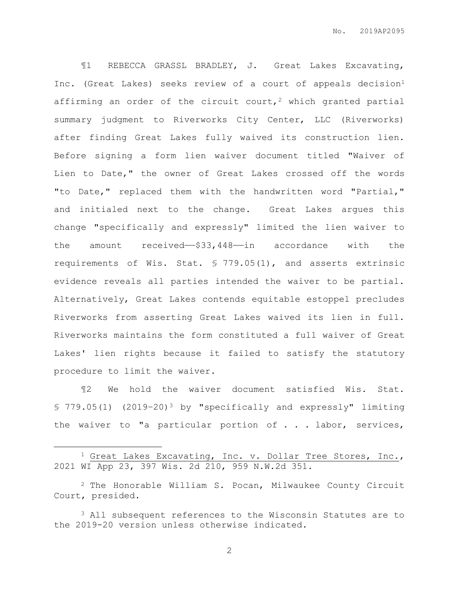¶1 REBECCA GRASSL BRADLEY, J. Great Lakes Excavating, Inc. (Great Lakes) seeks review of a court of appeals decision<sup>1</sup> affirming an order of the circuit court,<sup>2</sup> which granted partial summary judgment to Riverworks City Center, LLC (Riverworks) after finding Great Lakes fully waived its construction lien. Before signing a form lien waiver document titled "Waiver of Lien to Date," the owner of Great Lakes crossed off the words "to Date," replaced them with the handwritten word "Partial," and initialed next to the change. Great Lakes argues this change "specifically and expressly" limited the lien waiver to the amount received—–\$33,448—in accordance with the requirements of Wis. Stat. § 779.05(1), and asserts extrinsic evidence reveals all parties intended the waiver to be partial. Alternatively, Great Lakes contends equitable estoppel precludes Riverworks from asserting Great Lakes waived its lien in full. Riverworks maintains the form constituted a full waiver of Great Lakes' lien rights because it failed to satisfy the statutory procedure to limit the waiver.

¶2 We hold the waiver document satisfied Wis. Stat. § 779.05(1) (2019–20)<sup>3</sup> by "specifically and expressly" limiting the waiver to "a particular portion of . . . labor, services,

 $\overline{a}$ 

<sup>&</sup>lt;sup>1</sup> Great Lakes Excavating, Inc. v. Dollar Tree Stores, Inc., 2021 WI App 23, 397 Wis. 2d 210, 959 N.W.2d 351.

 $2$  The Honorable William S. Pocan, Milwaukee County Circuit Court, presided.

<sup>3</sup> All subsequent references to the Wisconsin Statutes are to the 2019-20 version unless otherwise indicated.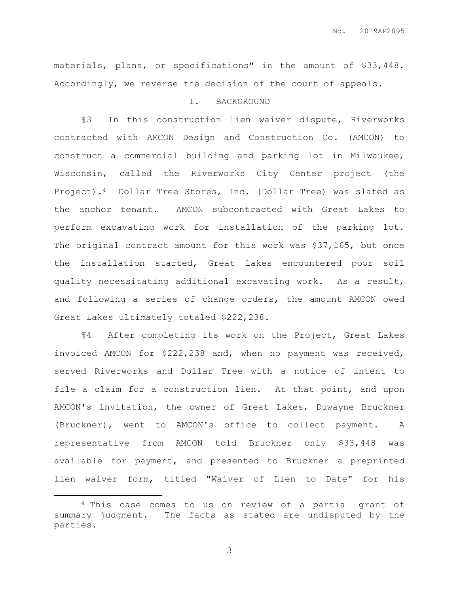materials, plans, or specifications" in the amount of \$33,448. Accordingly, we reverse the decision of the court of appeals.

### I. BACKGROUND

¶3 In this construction lien waiver dispute, Riverworks contracted with AMCON Design and Construction Co. (AMCON) to construct a commercial building and parking lot in Milwaukee, Wisconsin, called the Riverworks City Center project (the Project).4 Dollar Tree Stores, Inc. (Dollar Tree) was slated as the anchor tenant. AMCON subcontracted with Great Lakes to perform excavating work for installation of the parking lot. The original contract amount for this work was \$37,165, but once the installation started, Great Lakes encountered poor soil quality necessitating additional excavating work. As a result, and following a series of change orders, the amount AMCON owed Great Lakes ultimately totaled \$222,238.

¶4 After completing its work on the Project, Great Lakes invoiced AMCON for \$222,238 and, when no payment was received, served Riverworks and Dollar Tree with a notice of intent to file a claim for a construction lien. At that point, and upon AMCON's invitation, the owner of Great Lakes, Duwayne Bruckner (Bruckner), went to AMCON's office to collect payment. A representative from AMCON told Bruckner only \$33,448 was available for payment, and presented to Bruckner a preprinted lien waiver form, titled "Waiver of Lien to Date" for his

 $\overline{a}$ 

<sup>4</sup> This case comes to us on review of a partial grant of summary judgment. The facts as stated are undisputed by the parties.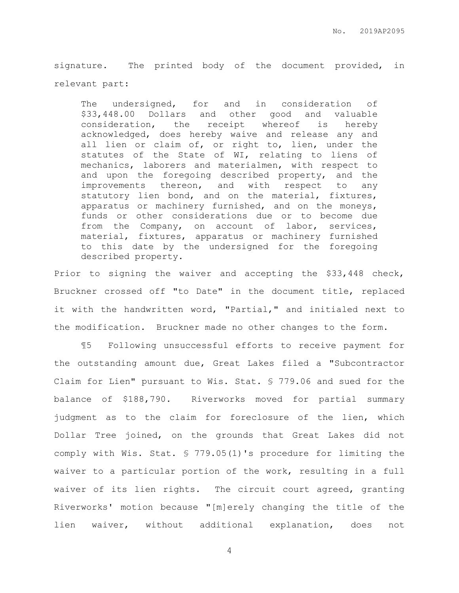signature. The printed body of the document provided, in relevant part:

The undersigned, for and in consideration of \$33,448.00 Dollars and other good and valuable consideration, the receipt whereof is hereby acknowledged, does hereby waive and release any and all lien or claim of, or right to, lien, under the statutes of the State of WI, relating to liens of mechanics, laborers and materialmen, with respect to and upon the foregoing described property, and the improvements thereon, and with respect to any statutory lien bond, and on the material, fixtures, apparatus or machinery furnished, and on the moneys, funds or other considerations due or to become due from the Company, on account of labor, services, material, fixtures, apparatus or machinery furnished to this date by the undersigned for the foregoing described property.

Prior to signing the waiver and accepting the \$33,448 check, Bruckner crossed off "to Date" in the document title, replaced it with the handwritten word, "Partial," and initialed next to the modification. Bruckner made no other changes to the form.

¶5 Following unsuccessful efforts to receive payment for the outstanding amount due, Great Lakes filed a "Subcontractor Claim for Lien" pursuant to Wis. Stat. § 779.06 and sued for the balance of \$188,790. Riverworks moved for partial summary judgment as to the claim for foreclosure of the lien, which Dollar Tree joined, on the grounds that Great Lakes did not comply with Wis. Stat. § 779.05(1)'s procedure for limiting the waiver to a particular portion of the work, resulting in a full waiver of its lien rights. The circuit court agreed, granting Riverworks' motion because "[m]erely changing the title of the lien waiver, without additional explanation, does not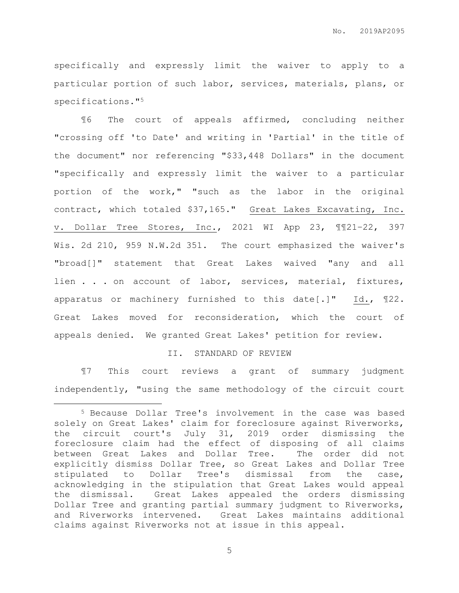specifically and expressly limit the waiver to apply to a particular portion of such labor, services, materials, plans, or specifications."<sup>5</sup>

¶6 The court of appeals affirmed, concluding neither "crossing off 'to Date' and writing in 'Partial' in the title of the document" nor referencing "\$33,448 Dollars" in the document "specifically and expressly limit the waiver to a particular portion of the work," "such as the labor in the original contract, which totaled \$37,165." Great Lakes Excavating, Inc. v. Dollar Tree Stores, Inc., 2021 WI App 23, ¶¶21–22, 397 Wis. 2d 210, 959 N.W.2d 351. The court emphasized the waiver's "broad[]" statement that Great Lakes waived "any and all lien . . . on account of labor, services, material, fixtures, apparatus or machinery furnished to this date[.]" Id., ¶22. Great Lakes moved for reconsideration, which the court of appeals denied. We granted Great Lakes' petition for review.

### II. STANDARD OF REVIEW

¶7 This court reviews a grant of summary judgment independently, "using the same methodology of the circuit court

 $\overline{a}$ 

<sup>5</sup> Because Dollar Tree's involvement in the case was based solely on Great Lakes' claim for foreclosure against Riverworks, the circuit court's July 31, 2019 order dismissing the foreclosure claim had the effect of disposing of all claims between Great Lakes and Dollar Tree. The order did not explicitly dismiss Dollar Tree, so Great Lakes and Dollar Tree stipulated to Dollar Tree's dismissal from the case, acknowledging in the stipulation that Great Lakes would appeal the dismissal. Great Lakes appealed the orders dismissing Dollar Tree and granting partial summary judgment to Riverworks, and Riverworks intervened. Great Lakes maintains additional claims against Riverworks not at issue in this appeal.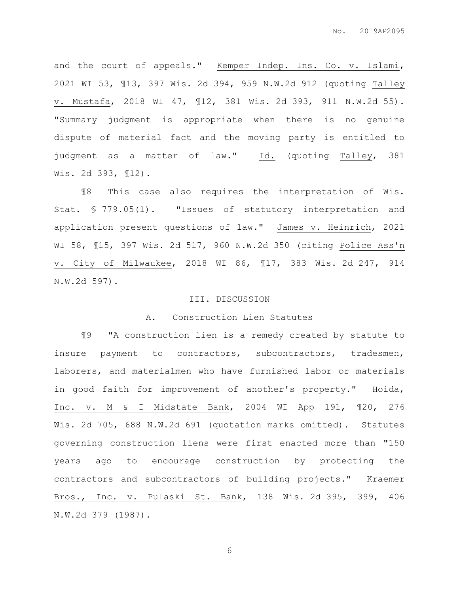and the court of appeals." Kemper Indep. Ins. Co. v. Islami, 2021 WI 53, ¶13, 397 Wis. 2d 394, 959 N.W.2d 912 (quoting Talley v. Mustafa, 2018 WI 47, ¶12, 381 Wis. 2d 393, 911 N.W.2d 55). "Summary judgment is appropriate when there is no genuine dispute of material fact and the moving party is entitled to judgment as a matter of law." Id. (quoting Talley, 381 Wis. 2d 393, ¶12).

¶8 This case also requires the interpretation of Wis. Stat. § 779.05(1). "Issues of statutory interpretation and application present questions of law." James v. Heinrich, 2021 WI 58, ¶15, 397 Wis. 2d 517, 960 N.W.2d 350 (citing Police Ass'n v. City of Milwaukee, 2018 WI 86, ¶17, 383 Wis. 2d 247, 914 N.W.2d 597).

### III. DISCUSSION

### A. Construction Lien Statutes

¶9 "A construction lien is a remedy created by statute to insure payment to contractors, subcontractors, tradesmen, laborers, and materialmen who have furnished labor or materials in good faith for improvement of another's property." Hoida, Inc. v. M & I Midstate Bank, 2004 WI App 191, ¶20, 276 Wis. 2d 705, 688 N.W.2d 691 (quotation marks omitted). Statutes governing construction liens were first enacted more than "150 years ago to encourage construction by protecting the contractors and subcontractors of building projects." Kraemer Bros., Inc. v. Pulaski St. Bank, 138 Wis. 2d 395, 399, 406 N.W.2d 379 (1987).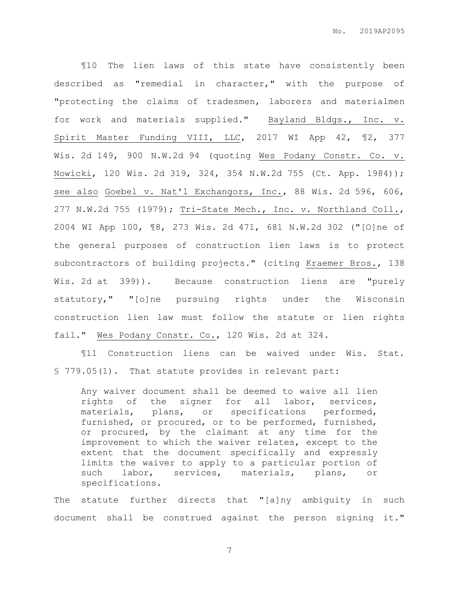¶10 The lien laws of this state have consistently been described as "remedial in character," with the purpose of "protecting the claims of tradesmen, laborers and materialmen for work and materials supplied." Bayland Bldgs., Inc. v. Spirit Master Funding VIII, LLC, 2017 WI App 42, 12, 377 Wis. 2d 149, 900 N.W.2d 94 (quoting Wes Podany Constr. Co. v. Nowicki, 120 Wis. 2d 319, 324, 354 N.W.2d 755 (Ct. App. 1984)); see also Goebel v. Nat'l Exchangors, Inc., 88 Wis. 2d 596, 606, 277 N.W.2d 755 (1979); Tri-State Mech., Inc. v. Northland Coll., 2004 WI App 100, ¶8, 273 Wis. 2d 471, 681 N.W.2d 302 ("[O]ne of the general purposes of construction lien laws is to protect subcontractors of building projects." (citing Kraemer Bros., 138 Wis. 2d at 399)). Because construction liens are "purely statutory," "[o]ne pursuing rights under the Wisconsin construction lien law must follow the statute or lien rights fail." Wes Podany Constr. Co., 120 Wis. 2d at 324.

¶11 Construction liens can be waived under Wis. Stat. § 779.05(1). That statute provides in relevant part:

Any waiver document shall be deemed to waive all lien rights of the signer for all labor, services, materials, plans, or specifications performed, furnished, or procured, or to be performed, furnished, or procured, by the claimant at any time for the improvement to which the waiver relates, except to the extent that the document specifically and expressly limits the waiver to apply to a particular portion of such labor, services, materials, plans, or specifications.

The statute further directs that "[a]ny ambiguity in such document shall be construed against the person signing it."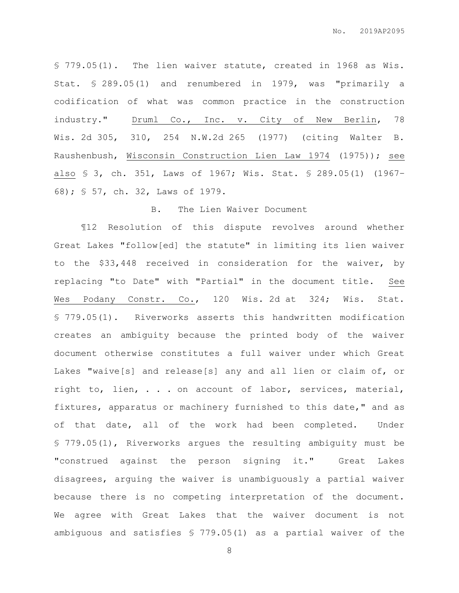§ 779.05(1). The lien waiver statute, created in 1968 as Wis. Stat. § 289.05(1) and renumbered in 1979, was "primarily a codification of what was common practice in the construction industry." Druml Co., Inc. v. City of New Berlin, 78 Wis. 2d 305, 310, 254 N.W.2d 265 (1977) (citing Walter B. Raushenbush, Wisconsin Construction Lien Law 1974 (1975)); see also § 3, ch. 351, Laws of 1967; Wis. Stat. § 289.05(1) (1967– 68); § 57, ch. 32, Laws of 1979.

### B. The Lien Waiver Document

¶12 Resolution of this dispute revolves around whether Great Lakes "follow[ed] the statute" in limiting its lien waiver to the \$33,448 received in consideration for the waiver, by replacing "to Date" with "Partial" in the document title. See Wes Podany Constr. Co., 120 Wis. 2d at 324; Wis. Stat. § 779.05(1). Riverworks asserts this handwritten modification creates an ambiguity because the printed body of the waiver document otherwise constitutes a full waiver under which Great Lakes "waive[s] and release[s] any and all lien or claim of, or right to, lien, . . . on account of labor, services, material, fixtures, apparatus or machinery furnished to this date," and as of that date, all of the work had been completed. Under § 779.05(1), Riverworks argues the resulting ambiguity must be "construed against the person signing it." Great Lakes disagrees, arguing the waiver is unambiguously a partial waiver because there is no competing interpretation of the document. We agree with Great Lakes that the waiver document is not ambiguous and satisfies § 779.05(1) as a partial waiver of the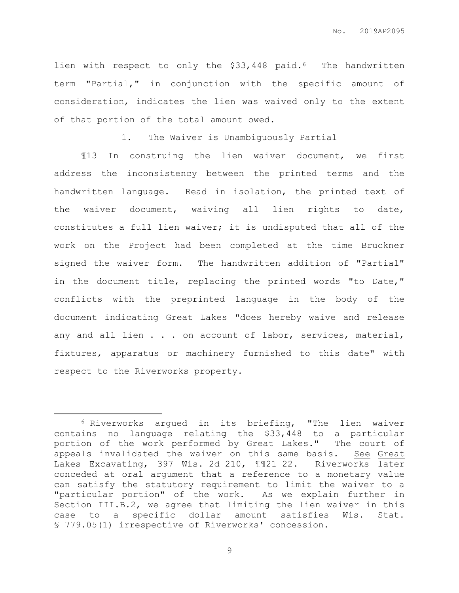lien with respect to only the \$33,448 paid.<sup>6</sup> The handwritten term "Partial," in conjunction with the specific amount of consideration, indicates the lien was waived only to the extent of that portion of the total amount owed.

1. The Waiver is Unambiguously Partial

¶13 In construing the lien waiver document, we first address the inconsistency between the printed terms and the handwritten language. Read in isolation, the printed text of the waiver document, waiving all lien rights to date, constitutes a full lien waiver; it is undisputed that all of the work on the Project had been completed at the time Bruckner signed the waiver form. The handwritten addition of "Partial" in the document title, replacing the printed words "to Date," conflicts with the preprinted language in the body of the document indicating Great Lakes "does hereby waive and release any and all lien . . . on account of labor, services, material, fixtures, apparatus or machinery furnished to this date" with respect to the Riverworks property.

 $\overline{a}$ 

<sup>6</sup> Riverworks argued in its briefing, "The lien waiver contains no language relating the \$33,448 to a particular portion of the work performed by Great Lakes." The court of appeals invalidated the waiver on this same basis. See Great Lakes Excavating, 397 Wis. 2d 210, ¶¶21–22. Riverworks later conceded at oral argument that a reference to a monetary value can satisfy the statutory requirement to limit the waiver to a "particular portion" of the work. As we explain further in Section III.B.2, we agree that limiting the lien waiver in this case to a specific dollar amount satisfies Wis. Stat. § 779.05(1) irrespective of Riverworks' concession.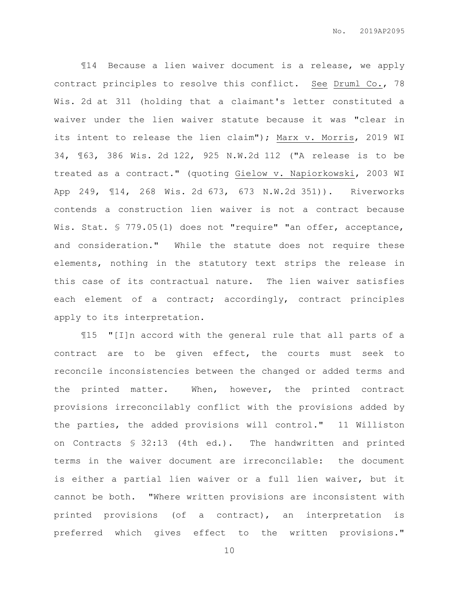¶14 Because a lien waiver document is a release, we apply contract principles to resolve this conflict. See Druml Co., 78 Wis. 2d at 311 (holding that a claimant's letter constituted a waiver under the lien waiver statute because it was "clear in its intent to release the lien claim"); Marx v. Morris, 2019 WI 34, ¶63, 386 Wis. 2d 122, 925 N.W.2d 112 ("A release is to be treated as a contract." (quoting Gielow v. Napiorkowski, 2003 WI App 249, ¶14, 268 Wis. 2d 673, 673 N.W.2d 351)). Riverworks contends a construction lien waiver is not a contract because Wis. Stat. § 779.05(1) does not "require" "an offer, acceptance, and consideration." While the statute does not require these elements, nothing in the statutory text strips the release in this case of its contractual nature. The lien waiver satisfies each element of a contract; accordingly, contract principles apply to its interpretation.

¶15 "[I]n accord with the general rule that all parts of a contract are to be given effect, the courts must seek to reconcile inconsistencies between the changed or added terms and the printed matter. When, however, the printed contract provisions irreconcilably conflict with the provisions added by the parties, the added provisions will control." 11 Williston on Contracts § 32:13 (4th ed.). The handwritten and printed terms in the waiver document are irreconcilable: the document is either a partial lien waiver or a full lien waiver, but it cannot be both. "Where written provisions are inconsistent with printed provisions (of a contract), an interpretation is preferred which gives effect to the written provisions."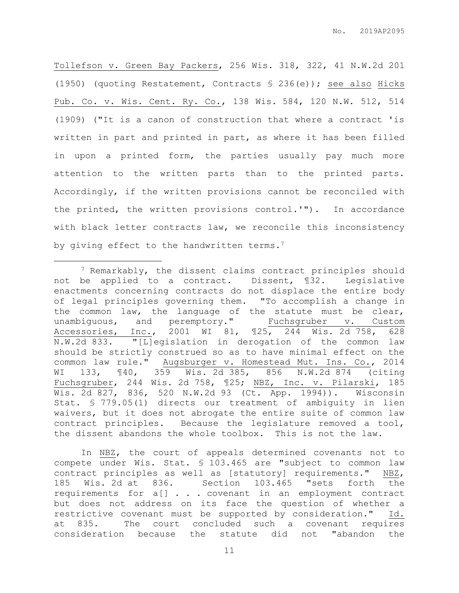Tollefson v. Green Bay Packers, 256 Wis. 318, 322, 41 N.W.2d 201 (1950) (quoting Restatement, Contracts § 236(e)); see also Hicks Pub. Co. v. Wis. Cent. Ry. Co., 138 Wis. 584, 120 N.W. 512, 514 (1909) ("It is a canon of construction that where a contract 'is written in part and printed in part, as where it has been filled in upon a printed form, the parties usually pay much more attention to the written parts than to the printed parts. Accordingly, if the written provisions cannot be reconciled with the printed, the written provisions control.'"). In accordance with black letter contracts law, we reconcile this inconsistency by giving effect to the handwritten terms.<sup>7</sup>

<sup>7</sup> Remarkably, the dissent claims contract principles should not be applied to a contract. Dissent, ¶32. Legislative enactments concerning contracts do not displace the entire body of legal principles governing them. "To accomplish a change in the common law, the language of the statute must be clear, unambiguous, and peremptory." Fuchsgruber v. Custom Accessories, Inc., 2001 WI 81, ¶25, 244 Wis. 2d 758, 628 N.W.2d 833. "[L]egislation in derogation of the common law should be strictly construed so as to have minimal effect on the common law rule." Augsburger v. Homestead Mut. Ins. Co., 2014 WI 133, ¶40, 359 Wis. 2d 385, 856 N.W.2d 874 (citing Fuchsgruber, 244 Wis. 2d 758, ¶25; NBZ, Inc. v. Pilarski, 185 Wis. 2d 827, 836, 520 N.W.2d 93 (Ct. App. 1994)). Wisconsin Stat. § 779.05(1) directs our treatment of ambiguity in lien waivers, but it does not abrogate the entire suite of common law contract principles. Because the legislature removed a tool, the dissent abandons the whole toolbox. This is not the law.

 $\overline{a}$ 

In NBZ, the court of appeals determined covenants not to compete under Wis. Stat. § 103.465 are "subject to common law contract principles as well as [statutory] requirements." NBZ, 185 Wis. 2d at 836. Section 103.465 "sets forth the requirements for a[] . . . covenant in an employment contract but does not address on its face the question of whether a restrictive covenant must be supported by consideration." Id. at 835. The court concluded such a covenant requires consideration because the statute did not "abandon the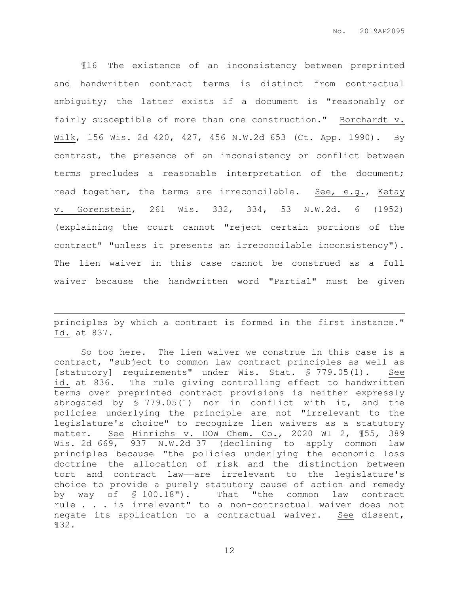¶16 The existence of an inconsistency between preprinted and handwritten contract terms is distinct from contractual ambiguity; the latter exists if a document is "reasonably or fairly susceptible of more than one construction." Borchardt v. Wilk, 156 Wis. 2d 420, 427, 456 N.W.2d 653 (Ct. App. 1990). By contrast, the presence of an inconsistency or conflict between terms precludes a reasonable interpretation of the document; read together, the terms are irreconcilable. See, e.g., Ketay v. Gorenstein, 261 Wis. 332, 334, 53 N.W.2d. 6 (1952) (explaining the court cannot "reject certain portions of the contract" "unless it presents an irreconcilable inconsistency"). The lien waiver in this case cannot be construed as a full waiver because the handwritten word "Partial" must be given

principles by which a contract is formed in the first instance." Id. at 837.

 $\overline{a}$ 

So too here. The lien waiver we construe in this case is a contract, "subject to common law contract principles as well as [statutory] requirements" under Wis. Stat. § 779.05(1). See id. at 836. The rule giving controlling effect to handwritten terms over preprinted contract provisions is neither expressly abrogated by § 779.05(1) nor in conflict with it, and the policies underlying the principle are not "irrelevant to the legislature's choice" to recognize lien waivers as a statutory matter. See Hinrichs v. DOW Chem. Co., 2020 WI 2, ¶55, 389 Wis. 2d 669, 937 N.W.2d 37 (declining to apply common law principles because "the policies underlying the economic loss doctrine——the allocation of risk and the distinction between tort and contract law—are irrelevant to the legislature's choice to provide a purely statutory cause of action and remedy by way of § 100.18"). That "the common law contract rule . . . is irrelevant" to a non-contractual waiver does not negate its application to a contractual waiver. See dissent, ¶32.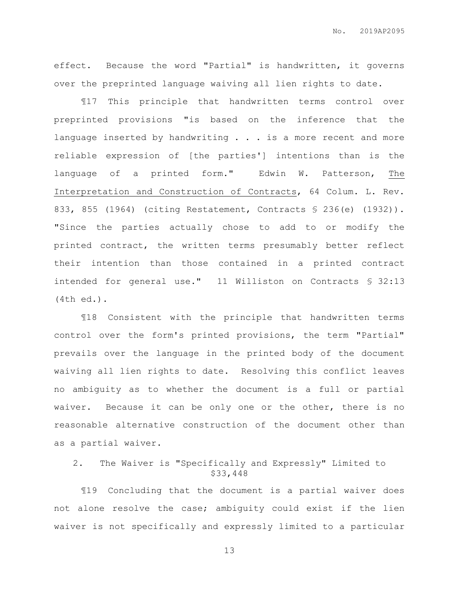effect. Because the word "Partial" is handwritten, it governs over the preprinted language waiving all lien rights to date.

¶17 This principle that handwritten terms control over preprinted provisions "is based on the inference that the language inserted by handwriting . . . is a more recent and more reliable expression of [the parties'] intentions than is the language of a printed form." Edwin W. Patterson, The Interpretation and Construction of Contracts, 64 Colum. L. Rev. 833, 855 (1964) (citing Restatement, Contracts § 236(e) (1932)). "Since the parties actually chose to add to or modify the printed contract, the written terms presumably better reflect their intention than those contained in a printed contract intended for general use." 11 Williston on Contracts § 32:13 (4th ed.).

¶18 Consistent with the principle that handwritten terms control over the form's printed provisions, the term "Partial" prevails over the language in the printed body of the document waiving all lien rights to date. Resolving this conflict leaves no ambiguity as to whether the document is a full or partial waiver. Because it can be only one or the other, there is no reasonable alternative construction of the document other than as a partial waiver.

### 2. The Waiver is "Specifically and Expressly" Limited to \$33,448

¶19 Concluding that the document is a partial waiver does not alone resolve the case; ambiguity could exist if the lien waiver is not specifically and expressly limited to a particular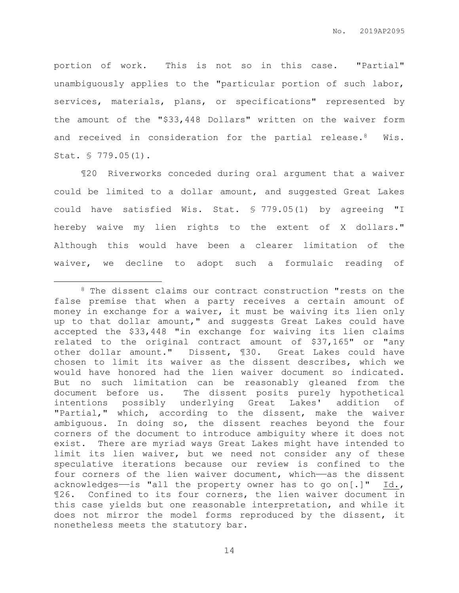portion of work. This is not so in this case. "Partial" unambiguously applies to the "particular portion of such labor, services, materials, plans, or specifications" represented by the amount of the "\$33,448 Dollars" written on the waiver form and received in consideration for the partial release.<sup>8</sup> Wis. Stat. § 779.05(1).

¶20 Riverworks conceded during oral argument that a waiver could be limited to a dollar amount, and suggested Great Lakes could have satisfied Wis. Stat. § 779.05(1) by agreeing "I hereby waive my lien rights to the extent of X dollars." Although this would have been a clearer limitation of the waiver, we decline to adopt such a formulaic reading of

 $\overline{a}$ 

<sup>8</sup> The dissent claims our contract construction "rests on the false premise that when a party receives a certain amount of money in exchange for a waiver, it must be waiving its lien only up to that dollar amount," and suggests Great Lakes could have accepted the \$33,448 "in exchange for waiving its lien claims related to the original contract amount of \$37,165" or "any other dollar amount." Dissent, ¶30. Great Lakes could have chosen to limit its waiver as the dissent describes, which we would have honored had the lien waiver document so indicated. But no such limitation can be reasonably gleaned from the document before us. The dissent posits purely hypothetical intentions possibly underlying Great Lakes' addition of "Partial," which, according to the dissent, make the waiver ambiguous. In doing so, the dissent reaches beyond the four corners of the document to introduce ambiguity where it does not exist. There are myriad ways Great Lakes might have intended to limit its lien waiver, but we need not consider any of these speculative iterations because our review is confined to the four corners of the lien waiver document, which—as the dissent acknowledges—is "all the property owner has to go on[.]"  $Id.,$ ¶26. Confined to its four corners, the lien waiver document in this case yields but one reasonable interpretation, and while it does not mirror the model forms reproduced by the dissent, it nonetheless meets the statutory bar.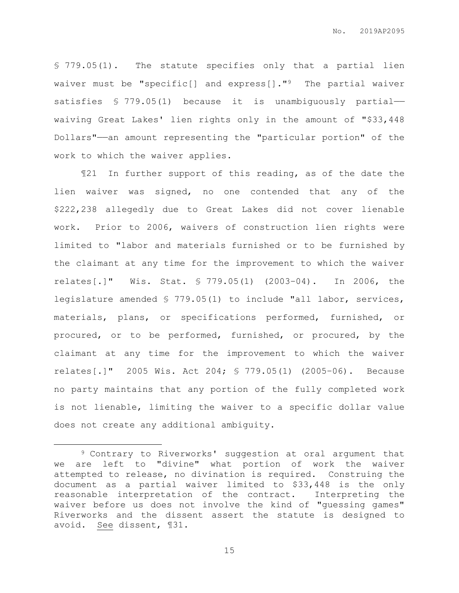§ 779.05(1). The statute specifies only that a partial lien waiver must be "specific[] and express[]."9 The partial waiver satisfies § 779.05(1) because it is unambiguously partial waiving Great Lakes' lien rights only in the amount of "\$33,448 Dollars"——an amount representing the "particular portion" of the work to which the waiver applies.

¶21 In further support of this reading, as of the date the lien waiver was signed, no one contended that any of the \$222,238 allegedly due to Great Lakes did not cover lienable work. Prior to 2006, waivers of construction lien rights were limited to "labor and materials furnished or to be furnished by the claimant at any time for the improvement to which the waiver relates[.]" Wis. Stat. § 779.05(1) (2003–04). In 2006, the legislature amended § 779.05(1) to include "all labor, services, materials, plans, or specifications performed, furnished, or procured, or to be performed, furnished, or procured, by the claimant at any time for the improvement to which the waiver relates[.]" 2005 Wis. Act 204; § 779.05(1) (2005–06). Because no party maintains that any portion of the fully completed work is not lienable, limiting the waiver to a specific dollar value does not create any additional ambiguity.

 $\overline{a}$ 

<sup>9</sup> Contrary to Riverworks' suggestion at oral argument that we are left to "divine" what portion of work the waiver attempted to release, no divination is required. Construing the document as a partial waiver limited to \$33,448 is the only reasonable interpretation of the contract. Interpreting the waiver before us does not involve the kind of "guessing games" Riverworks and the dissent assert the statute is designed to avoid. See dissent, ¶31.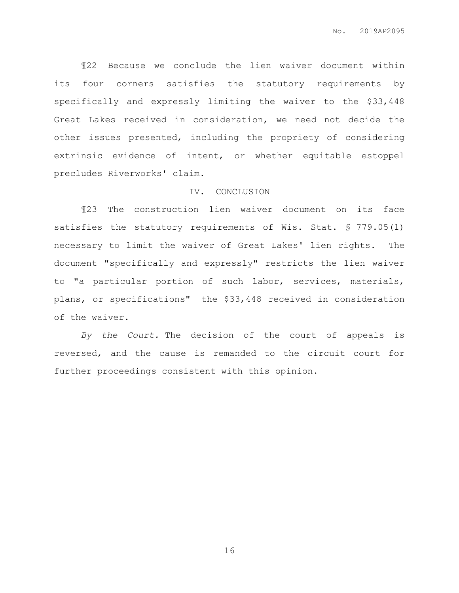¶22 Because we conclude the lien waiver document within its four corners satisfies the statutory requirements by specifically and expressly limiting the waiver to the \$33,448 Great Lakes received in consideration, we need not decide the other issues presented, including the propriety of considering extrinsic evidence of intent, or whether equitable estoppel precludes Riverworks' claim.

### IV. CONCLUSION

¶23 The construction lien waiver document on its face satisfies the statutory requirements of Wis. Stat. § 779.05(1) necessary to limit the waiver of Great Lakes' lien rights. The document "specifically and expressly" restricts the lien waiver to "a particular portion of such labor, services, materials, plans, or specifications"——the \$33,448 received in consideration of the waiver.

*By the Court.*—The decision of the court of appeals is reversed, and the cause is remanded to the circuit court for further proceedings consistent with this opinion.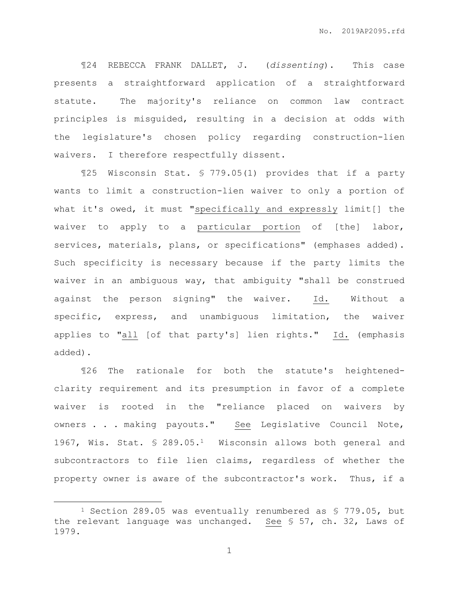¶24 REBECCA FRANK DALLET, J. (*dissenting*). This case presents a straightforward application of a straightforward statute. The majority's reliance on common law contract principles is misguided, resulting in a decision at odds with the legislature's chosen policy regarding construction-lien waivers. I therefore respectfully dissent.

¶25 Wisconsin Stat. § 779.05(1) provides that if a party wants to limit a construction-lien waiver to only a portion of what it's owed, it must "specifically and expressly limit[] the waiver to apply to a particular portion of [the] labor, services, materials, plans, or specifications" (emphases added). Such specificity is necessary because if the party limits the waiver in an ambiguous way, that ambiguity "shall be construed against the person signing" the waiver. Id. Without a specific, express, and unambiguous limitation, the waiver applies to "all [of that party's] lien rights." Id. (emphasis added).

¶26 The rationale for both the statute's heightenedclarity requirement and its presumption in favor of a complete waiver is rooted in the "reliance placed on waivers by owners . . . making payouts." See Legislative Council Note, 1967, Wis. Stat. § 289.05.1 Wisconsin allows both general and subcontractors to file lien claims, regardless of whether the property owner is aware of the subcontractor's work. Thus, if a

 $\overline{a}$ 

<sup>1</sup> Section 289.05 was eventually renumbered as § 779.05, but the relevant language was unchanged. See § 57, ch. 32, Laws of 1979.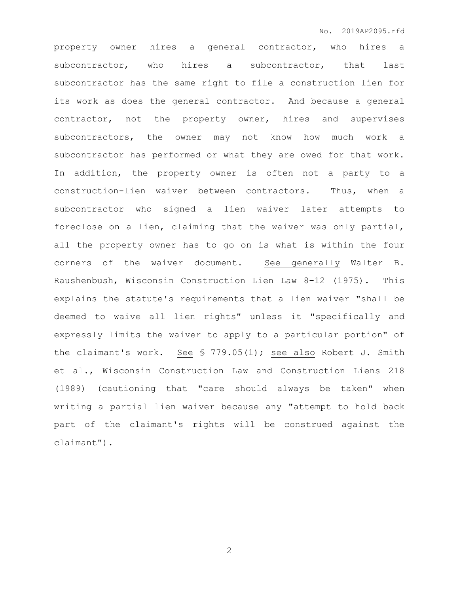property owner hires a general contractor, who hires a subcontractor, who hires a subcontractor, that last subcontractor has the same right to file a construction lien for its work as does the general contractor. And because a general contractor, not the property owner, hires and supervises subcontractors, the owner may not know how much work a subcontractor has performed or what they are owed for that work. In addition, the property owner is often not a party to a construction-lien waiver between contractors. Thus, when a subcontractor who signed a lien waiver later attempts to foreclose on a lien, claiming that the waiver was only partial, all the property owner has to go on is what is within the four corners of the waiver document. See generally Walter B. Raushenbush, Wisconsin Construction Lien Law 8–12 (1975). This explains the statute's requirements that a lien waiver "shall be deemed to waive all lien rights" unless it "specifically and expressly limits the waiver to apply to a particular portion" of the claimant's work. See § 779.05(1); see also Robert J. Smith et al., Wisconsin Construction Law and Construction Liens 218 (1989) (cautioning that "care should always be taken" when writing a partial lien waiver because any "attempt to hold back part of the claimant's rights will be construed against the claimant").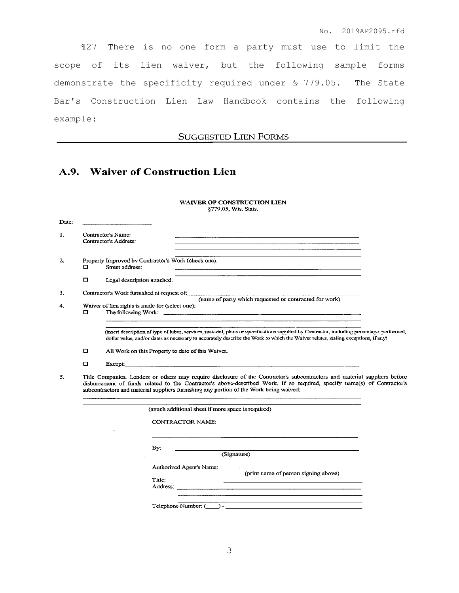¶27 There is no one form a party must use to limit the scope of its lien waiver, but the following sample forms demonstrate the specificity required under § 779.05. The State Bar's Construction Lien Law Handbook contains the following example:

### **SUGGESTED LIEN FORMS**

## A.9. Waiver of Construction Lien

#### WAIVER OF CONSTRUCTION LIEN §779.05, Wis. Stats.

| Date:        |                                                                                                                                                                                                                                                                                                                                                 |                                                                        |                                                                                                                                                                                                                                                                               |  |  |
|--------------|-------------------------------------------------------------------------------------------------------------------------------------------------------------------------------------------------------------------------------------------------------------------------------------------------------------------------------------------------|------------------------------------------------------------------------|-------------------------------------------------------------------------------------------------------------------------------------------------------------------------------------------------------------------------------------------------------------------------------|--|--|
| Ι.           |                                                                                                                                                                                                                                                                                                                                                 | Contractor's Name:<br>Contractor's Address:                            | and the contract of the contract of the contract of the contract of the contract of the contract of the contract of the contract of the contract of the contract of the contract of the contract of the contract of the contra                                                |  |  |
| $\mathbf{2}$ | □                                                                                                                                                                                                                                                                                                                                               | Property Improved by Contractor's Work (check one):<br>Street address: |                                                                                                                                                                                                                                                                               |  |  |
|              | o                                                                                                                                                                                                                                                                                                                                               | Legal description attached.                                            |                                                                                                                                                                                                                                                                               |  |  |
| 3.           |                                                                                                                                                                                                                                                                                                                                                 | Contractor's Work furnished at request of:                             | (name of party which requested or contracted for work)                                                                                                                                                                                                                        |  |  |
| 4.           | □                                                                                                                                                                                                                                                                                                                                               | Waiver of lien rights is made for (select one):                        |                                                                                                                                                                                                                                                                               |  |  |
|              |                                                                                                                                                                                                                                                                                                                                                 |                                                                        | (insert description of type of labor, services, material, plans or specifications supplied by Contractor, including percentage performed,<br>dollar value, and/or dates as necessary to accurately describe the Work to which the Waiver relates, stating exceptions, if any) |  |  |
|              | o                                                                                                                                                                                                                                                                                                                                               | All Work on this Property to date of this Waiver.                      |                                                                                                                                                                                                                                                                               |  |  |
|              | □                                                                                                                                                                                                                                                                                                                                               | Except:                                                                |                                                                                                                                                                                                                                                                               |  |  |
| 5.           | Title Companies, Lenders or others may require disclosure of the Contractor's subcontractors and material suppliers before<br>disbursement of funds related to the Contractor's above-described Work. If so required, specify name(s) of Contractor's<br>subcontractors and material suppliers furnishing any portion of the Work being waived: |                                                                        |                                                                                                                                                                                                                                                                               |  |  |
|              |                                                                                                                                                                                                                                                                                                                                                 |                                                                        | (attach additional sheet if more space is required)                                                                                                                                                                                                                           |  |  |
|              |                                                                                                                                                                                                                                                                                                                                                 |                                                                        | <b>CONTRACTOR NAME:</b>                                                                                                                                                                                                                                                       |  |  |
|              |                                                                                                                                                                                                                                                                                                                                                 | By:                                                                    | (Signature)                                                                                                                                                                                                                                                                   |  |  |
|              |                                                                                                                                                                                                                                                                                                                                                 | Title:                                                                 | Authorized Agent's Name:<br>(print name of person signing above)<br><u> 1980 - John Stein, marking and de Britain and de Britain and de Britain and de Britain and de Britain and de</u>                                                                                      |  |  |
|              |                                                                                                                                                                                                                                                                                                                                                 |                                                                        | Telephone Number: () -                                                                                                                                                                                                                                                        |  |  |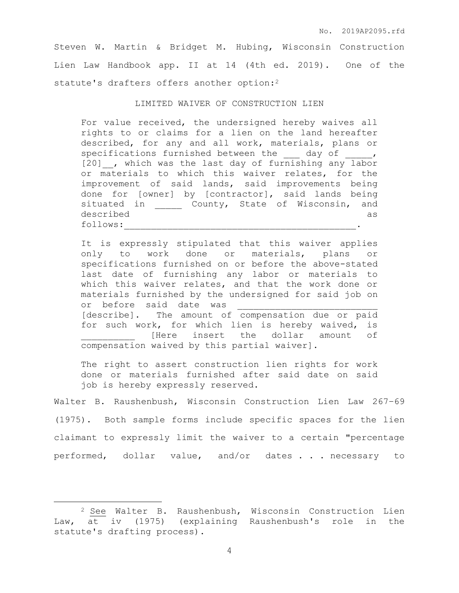Steven W. Martin & Bridget M. Hubing, Wisconsin Construction Lien Law Handbook app. II at 14 (4th ed. 2019). One of the statute's drafters offers another option:<sup>2</sup>

### LIMITED WAIVER OF CONSTRUCTION LIEN

For value received, the undersigned hereby waives all rights to or claims for a lien on the land hereafter described, for any and all work, materials, plans or specifications furnished between the day of , [20] , which was the last day of furnishing any labor or materials to which this waiver relates, for the improvement of said lands, said improvements being done for [owner] by [contractor], said lands being situated in \_\_\_\_\_\_ County, State of Wisconsin, and described as follows:

It is expressly stipulated that this waiver applies only to work done or materials, plans or specifications furnished on or before the above-stated last date of furnishing any labor or materials to which this waiver relates, and that the work done or materials furnished by the undersigned for said job on or before said date was [describe]. The amount of compensation due or paid for such work, for which lien is hereby waived, is [Here insert the dollar amount of compensation waived by this partial waiver].

The right to assert construction lien rights for work done or materials furnished after said date on said job is hereby expressly reserved.

Walter B. Raushenbush, Wisconsin Construction Lien Law 267–69 (1975). Both sample forms include specific spaces for the lien claimant to expressly limit the waiver to a certain "percentage performed, dollar value, and/or dates . . . necessary to

 $\overline{a}$ 

<sup>2</sup> See Walter B. Raushenbush, Wisconsin Construction Lien Law, at iv (1975) (explaining Raushenbush's role in the statute's drafting process).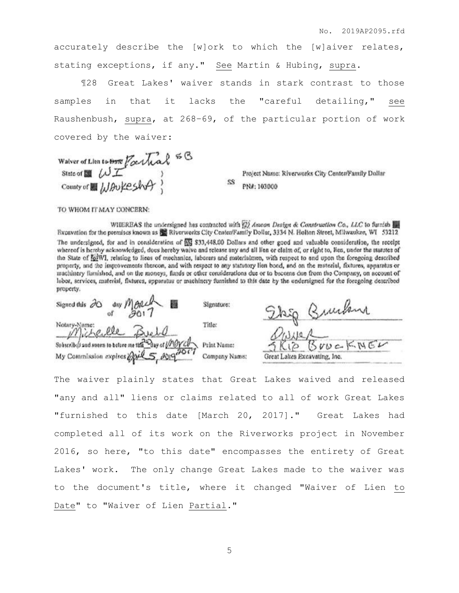accurately describe the [w]ork to which the [w]aiver relates, stating exceptions, if any." See Martin & Hubing, supra.

¶28 Great Lakes' waiver stands in stark contrast to those samples in that it lacks the "careful detailing," see Raushenbush, supra, at 268–69, of the particular portion of work covered by the waiver:

SS

Walver of Lion to Brave  $\operatorname{F}_\alpha$  that  $\stackrel{\leq}{\sim}$ County of a LIAUKESAFT

Project Name: Riverworks City Center/Family Dollar PN#: 103000

TO WHOM IT MAY CONCERN:

WHEREAS the undersigned has contracted with (2) Amoon Design & Construction Co., LLC to furnish [3] Excavation for the premises known as So Riverworks City Center/Family Dollar, 3334 N. Holton Street, Milwaukee, WI 53212 The undersigned, for and in consideration of ES \$33,448.00 Dollars and other good and valuable consideration, the receipt whereof is hereby acknowledged, does hereby waive and release any and all lien or elaim of, or right to, lien, under the statutes of the State of 101WI, relating to liens of mechanics, laborers and materialmen, with respect to and upon the foregoing described property, and the improvements thereon, and with respect to any statutory lien bond, and on the material, fixtures, apparatus or machinery furnished, and on the moneys, funds or other considerations due or to become due from the Company, on account of labor, services, material, fixtures, apparatus or machinery furnished to this date by the undersigned for the foregoing described property.

| Signed this $\partial 0$ day $M \partial 12$         | Signature:    | Stag Bunkin                  |
|------------------------------------------------------|---------------|------------------------------|
| Notary Dame:<br>Michelle Buell                       | Title:        |                              |
| Sobscribed and soorn to before me that Day of UNOYCO | Print Name:   | SKIP BruckNEL                |
| My Commission expires 2019 5, 20192017               | Company Name: | Great Lakes Excavating, Inc. |

The waiver plainly states that Great Lakes waived and released "any and all" liens or claims related to all of work Great Lakes "furnished to this date [March 20, 2017]." Great Lakes had completed all of its work on the Riverworks project in November 2016, so here, "to this date" encompasses the entirety of Great Lakes' work. The only change Great Lakes made to the waiver was to the document's title, where it changed "Waiver of Lien to Date" to "Waiver of Lien Partial."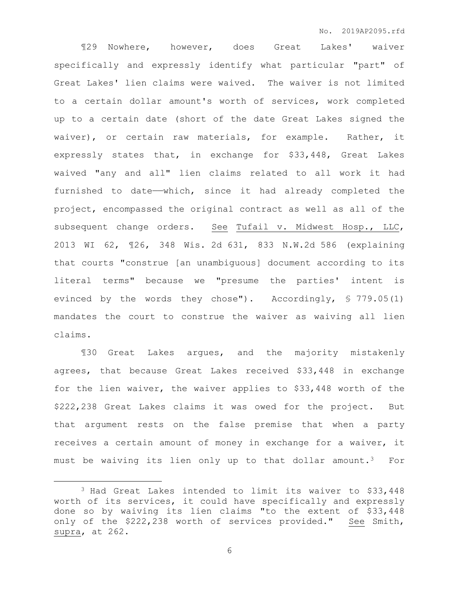¶29 Nowhere, however, does Great Lakes' waiver specifically and expressly identify what particular "part" of Great Lakes' lien claims were waived. The waiver is not limited to a certain dollar amount's worth of services, work completed up to a certain date (short of the date Great Lakes signed the waiver), or certain raw materials, for example. Rather, it expressly states that, in exchange for \$33,448, Great Lakes waived "any and all" lien claims related to all work it had furnished to date——which, since it had already completed the project, encompassed the original contract as well as all of the subsequent change orders. See Tufail v. Midwest Hosp., LLC, 2013 WI 62, ¶26, 348 Wis. 2d 631, 833 N.W.2d 586 (explaining that courts "construe [an unambiguous] document according to its literal terms" because we "presume the parties' intent is evinced by the words they chose"). Accordingly, § 779.05(1) mandates the court to construe the waiver as waiving all lien claims.

¶30 Great Lakes argues, and the majority mistakenly agrees, that because Great Lakes received \$33,448 in exchange for the lien waiver, the waiver applies to \$33,448 worth of the \$222,238 Great Lakes claims it was owed for the project. But that argument rests on the false premise that when a party receives a certain amount of money in exchange for a waiver, it must be waiving its lien only up to that dollar amount.<sup>3</sup> For

 $\overline{a}$ 

<sup>3</sup> Had Great Lakes intended to limit its waiver to \$33,448 worth of its services, it could have specifically and expressly done so by waiving its lien claims "to the extent of \$33,448 only of the \$222,238 worth of services provided." See Smith, supra, at 262.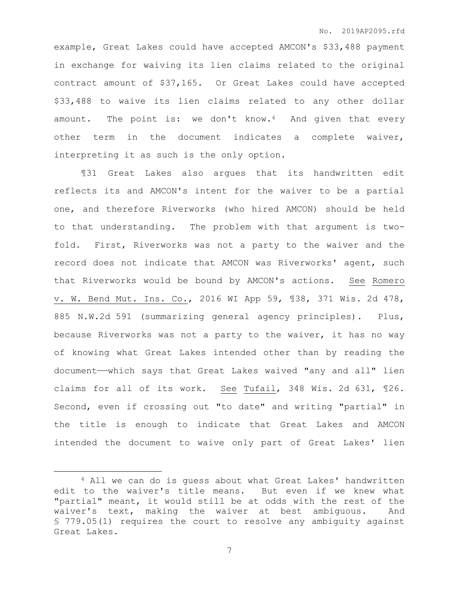example, Great Lakes could have accepted AMCON's \$33,488 payment in exchange for waiving its lien claims related to the original contract amount of \$37,165. Or Great Lakes could have accepted \$33,488 to waive its lien claims related to any other dollar amount. The point is: we don't know.<sup>4</sup> And given that every other term in the document indicates a complete waiver, interpreting it as such is the only option.

¶31 Great Lakes also argues that its handwritten edit reflects its and AMCON's intent for the waiver to be a partial one, and therefore Riverworks (who hired AMCON) should be held to that understanding. The problem with that argument is twofold. First, Riverworks was not a party to the waiver and the record does not indicate that AMCON was Riverworks' agent, such that Riverworks would be bound by AMCON's actions. See Romero v. W. Bend Mut. Ins. Co., 2016 WI App 59, ¶38, 371 Wis. 2d 478, 885 N.W.2d 591 (summarizing general agency principles)**.** Plus, because Riverworks was not a party to the waiver, it has no way of knowing what Great Lakes intended other than by reading the document——which says that Great Lakes waived "any and all" lien claims for all of its work. See Tufail, 348 Wis. 2d 631, ¶26. Second, even if crossing out "to date" and writing "partial" in the title is enough to indicate that Great Lakes and AMCON intended the document to waive only part of Great Lakes' lien

 $\overline{a}$ 

<sup>4</sup> All we can do is guess about what Great Lakes' handwritten edit to the waiver's title means. But even if we knew what "partial" meant, it would still be at odds with the rest of the waiver's text, making the waiver at best ambiguous. And § 779.05(1) requires the court to resolve any ambiguity against Great Lakes.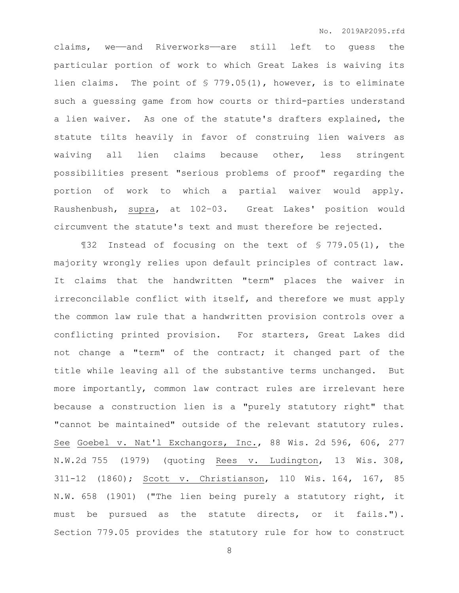claims, we——and Riverworks——are still left to guess the particular portion of work to which Great Lakes is waiving its lien claims. The point of § 779.05(1), however, is to eliminate such a guessing game from how courts or third-parties understand a lien waiver. As one of the statute's drafters explained, the statute tilts heavily in favor of construing lien waivers as waiving all lien claims because other, less stringent possibilities present "serious problems of proof" regarding the portion of work to which a partial waiver would apply. Raushenbush, supra, at 102–03.Great Lakes' position would circumvent the statute's text and must therefore be rejected.

¶32 Instead of focusing on the text of § 779.05(1), the majority wrongly relies upon default principles of contract law. It claims that the handwritten "term" places the waiver in irreconcilable conflict with itself, and therefore we must apply the common law rule that a handwritten provision controls over a conflicting printed provision. For starters, Great Lakes did not change a "term" of the contract; it changed part of the title while leaving all of the substantive terms unchanged. But more importantly, common law contract rules are irrelevant here because a construction lien is a "purely statutory right" that "cannot be maintained" outside of the relevant statutory rules. See Goebel v. Nat'l Exchangors, Inc., 88 Wis. 2d 596, 606, 277 N.W.2d 755 (1979) (quoting Rees v. Ludington, 13 Wis. 308, 311-12 (1860); Scott v. Christianson, 110 Wis. 164, 167, 85 N.W. 658 (1901) ("The lien being purely a statutory right, it must be pursued as the statute directs, or it fails."). Section 779.05 provides the statutory rule for how to construct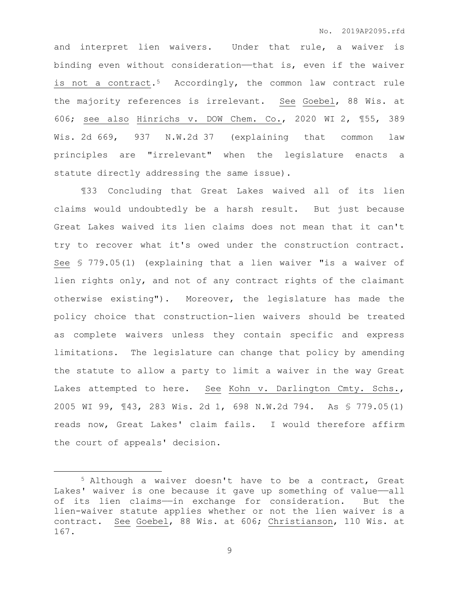and interpret lien waivers. Under that rule, a waiver is binding even without consideration—that is, even if the waiver is not a contract.<sup>5</sup> Accordingly, the common law contract rule the majority references is irrelevant. See Goebel, 88 Wis. at 606; see also Hinrichs v. DOW Chem. Co., 2020 WI 2, ¶55, 389 Wis. 2d 669, 937 N.W.2d 37 (explaining that common law principles are "irrelevant" when the legislature enacts a statute directly addressing the same issue).

¶33 Concluding that Great Lakes waived all of its lien claims would undoubtedly be a harsh result. But just because Great Lakes waived its lien claims does not mean that it can't try to recover what it's owed under the construction contract. See § 779.05(1) (explaining that a lien waiver "is a waiver of lien rights only, and not of any contract rights of the claimant otherwise existing"). Moreover, the legislature has made the policy choice that construction-lien waivers should be treated as complete waivers unless they contain specific and express limitations. The legislature can change that policy by amending the statute to allow a party to limit a waiver in the way Great Lakes attempted to here. See Kohn v. Darlington Cmty. Schs., 2005 WI 99, ¶43, 283 Wis. 2d 1, 698 N.W.2d 794. As § 779.05(1) reads now, Great Lakes' claim fails. I would therefore affirm the court of appeals' decision.

 $\overline{a}$ 

<sup>5</sup> Although a waiver doesn't have to be a contract, Great Lakes' waiver is one because it gave up something of value-all of its lien claims——in exchange for consideration. But the lien-waiver statute applies whether or not the lien waiver is a contract. See Goebel, 88 Wis. at 606; Christianson, 110 Wis. at 167.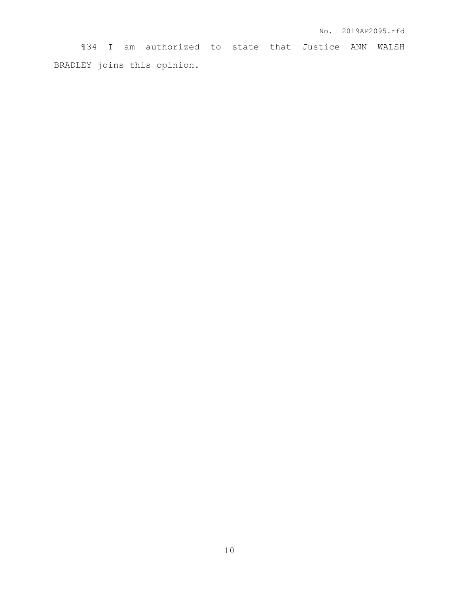¶34 I am authorized to state that Justice ANN WALSH BRADLEY joins this opinion.